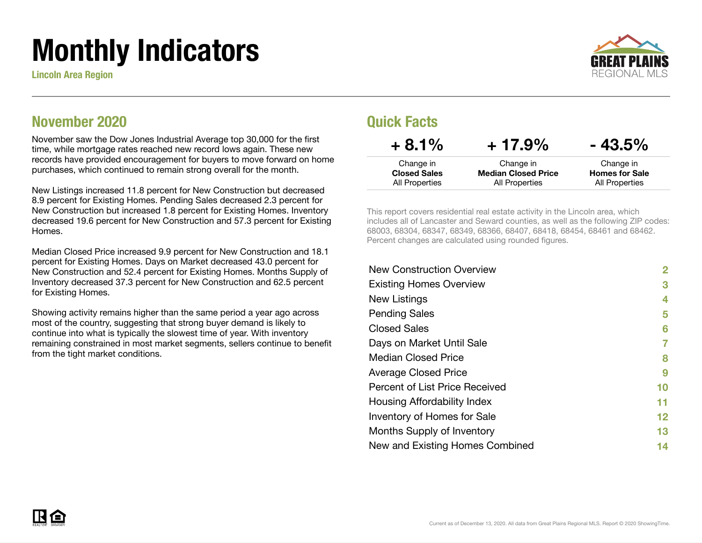# Monthly Indicators

Lincoln Area Region



### November 2020

November saw the Dow Jones Industrial Average top 30,000 for the first time, while mortgage rates reached new record lows again. These new records have provided encouragement for buyers to move forward on home purchases, which continued to remain strong overall for the month.

New Listings increased 11.8 percent for New Construction but decreased 8.9 percent for Existing Homes. Pending Sales decreased 2.3 percent for New Construction but increased 1.8 percent for Existing Homes. Inventory decreased 19.6 percent for New Construction and 57.3 percent for Existing Homes.

Median Closed Price increased 9.9 percent for New Construction and 18.1 percent for Existing Homes. Days on Market decreased 43.0 percent for New Construction and 52.4 percent for Existing Homes. Months Supply of Inventory decreased 37.3 percent for New Construction and 62.5 percent for Existing Homes.

Showing activity remains higher than the same period a year ago across most of the country, suggesting that strong buyer demand is likely to continue into what is typically the slowest time of year. With inventory remaining constrained in most market segments, sellers continue to benefit from the tight market conditions.

### Quick Facts

| $+8.1\%$            | $+17.9\%$                  | $-43.5\%$             |
|---------------------|----------------------------|-----------------------|
| Change in           | Change in                  | Change in             |
| <b>Closed Sales</b> | <b>Median Closed Price</b> | <b>Homes for Sale</b> |
| All Properties      | All Properties             | All Properties        |

This report covers residential real estate activity in the Lincoln area, which includes all of Lancaster and Seward counties, as well as the following ZIP codes: 68003, 68304, 68347, 68349, 68366, 68407, 68418, 68454, 68461 and 68462. Percent changes are calculated using rounded figures.

| <b>New Construction Overview</b> | 2                 |
|----------------------------------|-------------------|
| <b>Existing Homes Overview</b>   | 3                 |
| New Listings                     | 4                 |
| <b>Pending Sales</b>             | 5                 |
| <b>Closed Sales</b>              | 6                 |
| Days on Market Until Sale        | 7                 |
| <b>Median Closed Price</b>       | 8                 |
| <b>Average Closed Price</b>      | 9                 |
| Percent of List Price Received   | 10                |
| Housing Affordability Index      | 11                |
| Inventory of Homes for Sale      | $12 \ \mathsf{ }$ |
| Months Supply of Inventory       | 13                |
| New and Existing Homes Combined  | 14                |
|                                  |                   |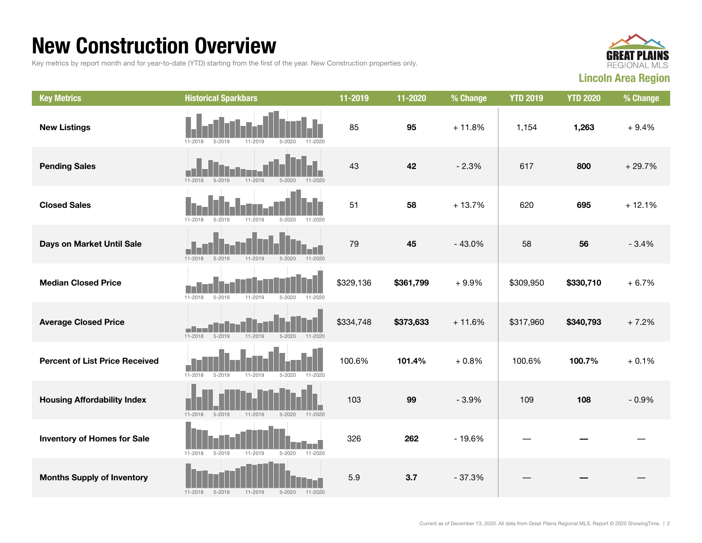### New Construction Overview

Key metrics by report month and for year-to-date (YTD) starting from the first of the year. New Construction properties only.



| <b>Key Metrics</b>                    | <b>Historical Sparkbars</b>                                           | 11-2019   | 11-2020   | % Change | <b>YTD 2019</b> | <b>YTD 2020</b> | % Change |
|---------------------------------------|-----------------------------------------------------------------------|-----------|-----------|----------|-----------------|-----------------|----------|
| <b>New Listings</b>                   | $5 - 2020$<br>11-2018<br>$5 - 2019$<br>11-2019<br>$11 - 2020$         | 85        | 95        | $+11.8%$ | 1,154           | 1,263           | $+9.4%$  |
| <b>Pending Sales</b>                  | $11 - 2018$<br>$5 - 2019$<br>$11 - 2019$<br>$5 - 2020$<br>$11 - 2020$ | 43        | 42        | $-2.3%$  | 617             | 800             | $+29.7%$ |
| <b>Closed Sales</b>                   | $5 - 2019$<br>$11 - 2019$<br>$5 - 2020$<br>11-2018<br>11-2020         | 51        | 58        | $+13.7%$ | 620             | 695             | $+12.1%$ |
| Days on Market Until Sale             | $5 - 2019$<br>$11 - 2019$<br>$5 - 2020$<br>$11 - 2018$<br>$11 - 2020$ | 79        | 45        | $-43.0%$ | 58              | 56              | $-3.4%$  |
| <b>Median Closed Price</b>            | $11 - 2018$<br>$11 - 2019$<br>$5 - 2020$<br>$11 - 2020$<br>5-2019     | \$329,136 | \$361,799 | $+9.9%$  | \$309,950       | \$330,710       | $+6.7%$  |
| <b>Average Closed Price</b>           | $11 - 2018$<br>$5 - 2019$<br>$5 - 2020$<br>$11 - 2019$<br>$11 - 2020$ | \$334,748 | \$373,633 | $+11.6%$ | \$317,960       | \$340,793       | $+7.2%$  |
| <b>Percent of List Price Received</b> | $11 - 2018$<br>$5 - 2019$<br>11-2019<br>$5 - 2020$<br>11-2020         | 100.6%    | 101.4%    | $+0.8%$  | 100.6%          | 100.7%          | $+0.1%$  |
| <b>Housing Affordability Index</b>    | 11-2019<br>$11 - 2018$<br>$5 - 2019$<br>$5 - 2020$<br>$11 - 2020$     | 103       | 99        | $-3.9%$  | 109             | 108             | $-0.9%$  |
| <b>Inventory of Homes for Sale</b>    | $5 - 2020$<br>11-2020<br>$11 - 2018$<br>$5 - 2019$<br>11-2019         | 326       | 262       | $-19.6%$ |                 |                 |          |
| <b>Months Supply of Inventory</b>     | $5 - 2020$<br>$11 - 2018$<br>$5 - 2019$<br>$11 - 2019$<br>$11 - 2020$ | 5.9       | 3.7       | $-37.3%$ |                 |                 |          |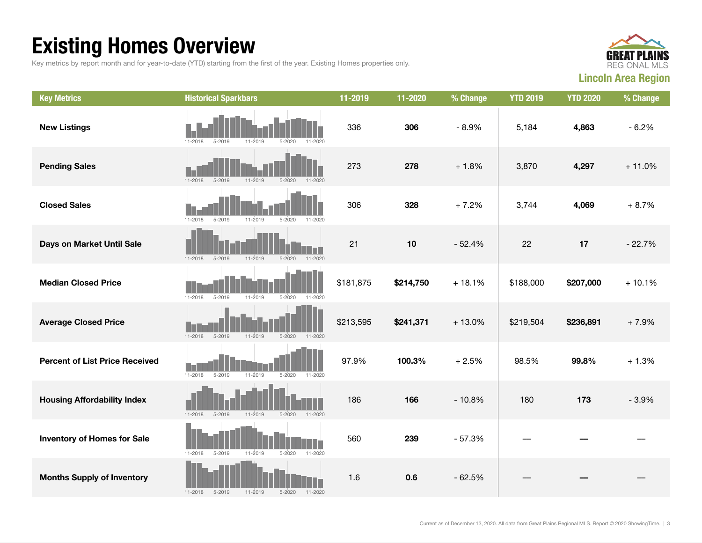## Existing Homes Overview

Key metrics by report month and for year-to-date (YTD) starting from the first of the year. Existing Homes properties only.



| <b>Key Metrics</b>                    | <b>Historical Sparkbars</b>                                           | 11-2019   | 11-2020   | % Change | <b>YTD 2019</b> | <b>YTD 2020</b> | % Change |
|---------------------------------------|-----------------------------------------------------------------------|-----------|-----------|----------|-----------------|-----------------|----------|
| <b>New Listings</b>                   | $11 - 2018$<br>$5 - 2019$<br>11-2019<br>$5 - 2020$<br>11-2020         | 336       | 306       | $-8.9%$  | 5,184           | 4,863           | $-6.2%$  |
| <b>Pending Sales</b>                  | $11 - 2018$<br>$5 - 2019$<br>11-2019<br>$5 - 2020$<br>$11 - 2020$     | 273       | 278       | $+1.8%$  | 3,870           | 4,297           | $+11.0%$ |
| <b>Closed Sales</b>                   | $11 - 2018$<br>$5 - 2019$<br>$11 - 2019$<br>$5 - 2020$<br>11-2020     | 306       | 328       | $+7.2%$  | 3,744           | 4,069           | $+8.7%$  |
| Days on Market Until Sale             | $5 - 2019$<br>11-2019<br>11-2020<br>$11 - 2018$<br>$5 - 2020$         | 21        | 10        | $-52.4%$ | 22              | 17              | $-22.7%$ |
| <b>Median Closed Price</b>            | 11-2019<br>$5 - 2020$<br>$11 - 2018$<br>$5 - 2019$<br>11-2020         | \$181,875 | \$214,750 | $+18.1%$ | \$188,000       | \$207,000       | $+10.1%$ |
| <b>Average Closed Price</b>           | $11 - 2018$<br>$5 - 2019$<br>$11 - 2019$<br>$5 - 2020$<br>11-2020     | \$213,595 | \$241,371 | $+13.0%$ | \$219,504       | \$236,891       | $+7.9%$  |
| <b>Percent of List Price Received</b> | $11 - 2018$<br>$5 - 2019$<br>11-2019<br>$5 - 2020$<br>11-2020         | 97.9%     | 100.3%    | $+2.5%$  | 98.5%           | 99.8%           | $+1.3%$  |
| <b>Housing Affordability Index</b>    | $11 - 2018$<br>$5 - 2019$<br>11-2019<br>$5 - 2020$<br>11-2020         | 186       | 166       | $-10.8%$ | 180             | 173             | $-3.9%$  |
| <b>Inventory of Homes for Sale</b>    | $11 - 2018$<br>$5 - 2019$<br>11-2019<br>$5 - 2020$<br>11-2020         | 560       | 239       | $-57.3%$ |                 |                 |          |
| <b>Months Supply of Inventory</b>     | $11 - 2018$<br>$5 - 2019$<br>$11 - 2019$<br>$5 - 2020$<br>$11 - 2020$ | 1.6       | 0.6       | $-62.5%$ |                 |                 |          |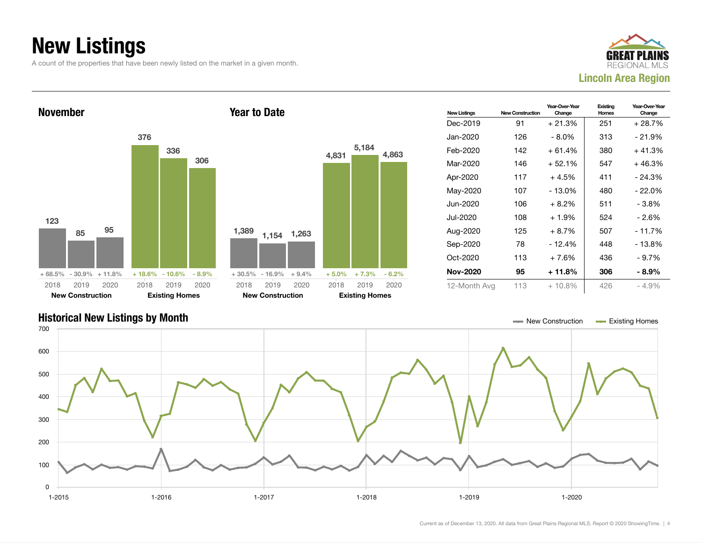## New Listings

A count of the properties that have been newly listed on the market in a given month.





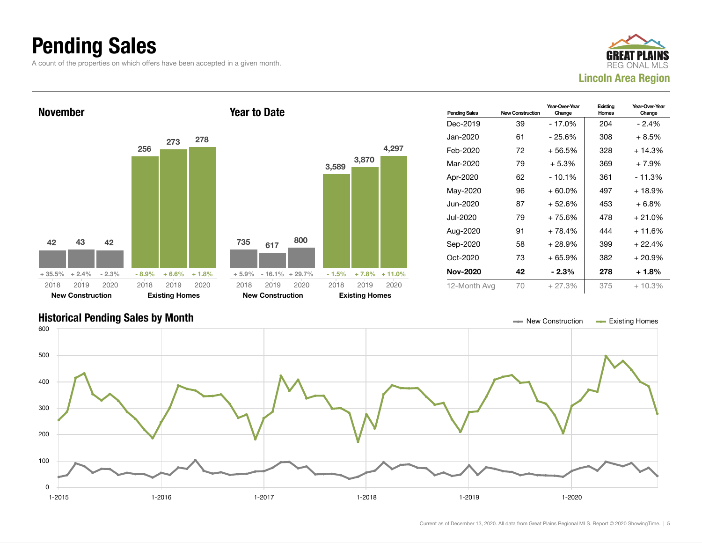### Pending Sales

A count of the properties on which offers have been accepted in a given month.







Current as of December 13, 2020. All data from Great Plains Regional MLS. Report © 2020 ShowingTime. | 5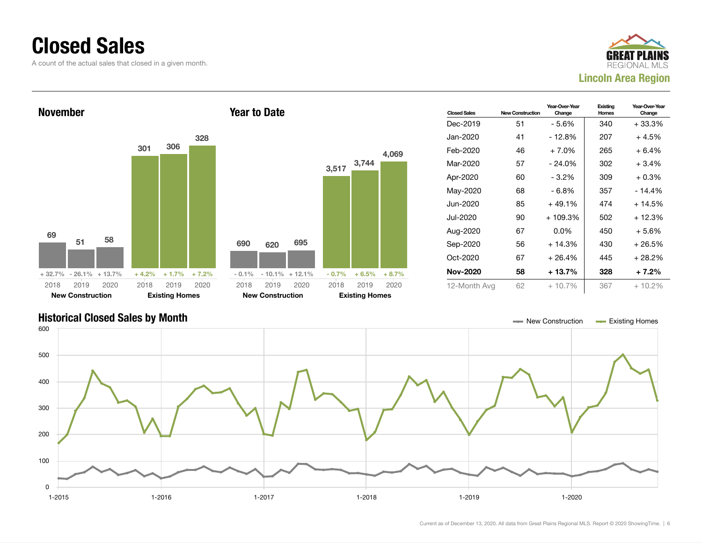### Closed Sales

A count of the actual sales that closed in a given month.





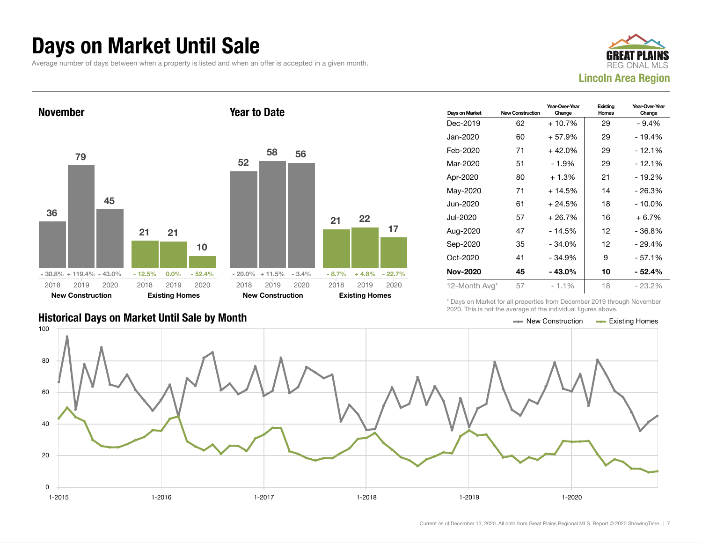### Days on Market Until Sale

Average number of days between when a property is listed and when an offer is accepted in a given month.





|                                               | LULU. THIU IU HUL LIIU UYULUUU UI LIIU IHUIVIUULI IIYUI UU UDUYU. |  |
|-----------------------------------------------|-------------------------------------------------------------------|--|
| Historical Days on Market Until Sale by Month | $\equiv$ New Construction $\equiv$ Existing Homes                 |  |

| Days on Market | <b>New Construction</b> | Year-Over-Year<br>Change | Existing<br>Homes | Year-Over-Year<br>Change |
|----------------|-------------------------|--------------------------|-------------------|--------------------------|
| Dec-2019       | 62                      | $+10.7%$                 | 29                | $-9.4%$                  |
| Jan-2020       | 60                      | $+57.9%$                 | 29                | - 19.4%                  |
| Feb-2020       | 71                      | $+42.0%$                 | 29                | $-12.1%$                 |
| Mar-2020       | 51                      | - 1.9%                   | 29                | $-12.1%$                 |
| Apr-2020       | 80                      | + 1.3%                   | 21                | - 19.2%                  |
| May-2020       | 71                      | $+14.5%$                 | 14                | - 26.3%                  |
| Jun-2020       | 61                      | $+24.5%$                 | 18                | - 10.0%                  |
| Jul-2020       | 57                      | $+26.7%$                 | 16                | $+6.7%$                  |
| Aug-2020       | 47                      | $-14.5%$                 | 12                | - 36.8%                  |
| Sep-2020       | 35                      | $-34.0%$                 | 12                | - 29.4%                  |
| Oct-2020       | 41                      | - 34.9%                  | 9                 | - 57.1%                  |
| Nov-2020       | 45                      | - 43.0%                  | 10                | - 52.4%                  |
| 12-Month Avg*  | 57                      | $-1.1%$                  | 18                | $-23.2\%$                |

\* Days on Market for all properties from December 2019 through November 2020. This is not the average of the individual figures above.



17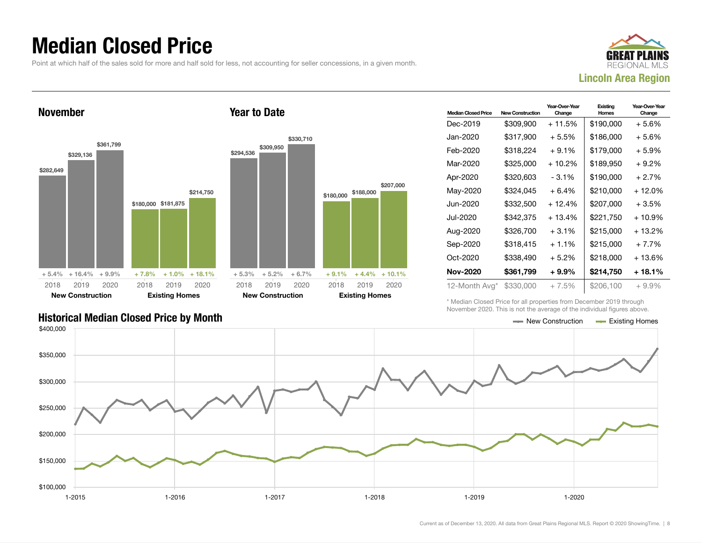### Median Closed Price

Point at which half of the sales sold for more and half sold for less, not accounting for seller concessions, in a given month.





| <b>Median Closed Price</b> | <b>New Construction</b> | Year-Over-Year<br>Change | Existing<br><b>Homes</b> | Year-Over-Year<br>Change |
|----------------------------|-------------------------|--------------------------|--------------------------|--------------------------|
| Dec-2019                   | \$309,900               | + 11.5%                  | \$190,000                | + 5.6%                   |
| Jan-2020                   | \$317,900               | $+5.5%$                  | \$186,000                | + 5.6%                   |
| Feb-2020                   | \$318,224               | $+9.1%$                  | \$179,000                | $+5.9%$                  |
| Mar-2020                   | \$325,000               | + 10.2%                  | \$189.950                | + 9.2%                   |
| Apr-2020                   | \$320,603               | $-3.1\%$                 | \$190,000                | $+2.7%$                  |
| May-2020                   | \$324,045               | $+6.4%$                  | \$210,000                | + 12.0%                  |
| Jun-2020                   | \$332,500               | $+12.4%$                 | \$207,000                | + 3.5%                   |
| Jul-2020                   | \$342,375               | $+13.4%$                 | \$221,750                | + 10.9%                  |
| Aug-2020                   | \$326,700               | $+3.1\%$                 | \$215,000                | + 13.2%                  |
| Sep-2020                   | \$318,415               | $+1.1%$                  | \$215,000                | $+7.7%$                  |
| Oct-2020                   | \$338,490               | $+5.2\%$                 | \$218,000                | + 13.6%                  |
| <b>Nov-2020</b>            | \$361,799               | $+9.9\%$                 | \$214,750                | + 18.1%                  |
| 12-Month Avg*              | \$330,000               | $+7.5%$                  | \$206,100                | $+9.9\%$                 |

\* Median Closed Price for all properties from December 2019 through November 2020. This is not the average of the individual figures above.



\$207,000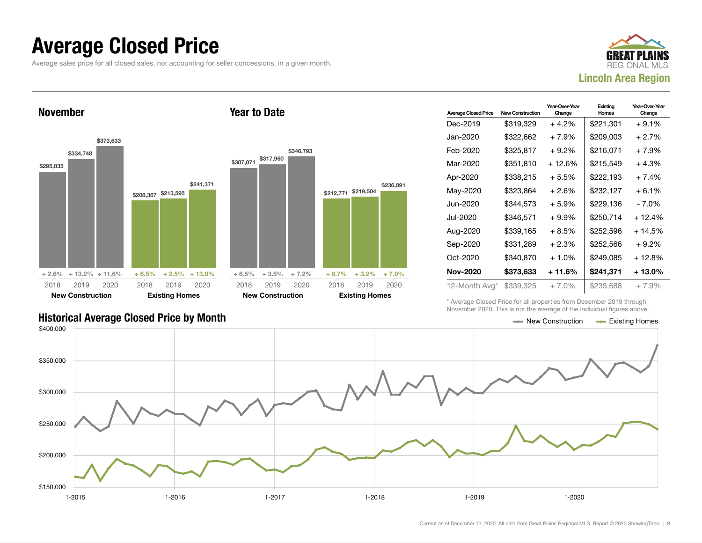### Average Closed Price

Average sales price for all closed sales, not accounting for seller concessions, in a given month.



November



Year to Date

| <b>Average Closed Price</b> | <b>New Construction</b> | Year-Over-Year<br>Change | Existing<br><b>Homes</b> |         |
|-----------------------------|-------------------------|--------------------------|--------------------------|---------|
| Dec-2019                    | \$319,329               | $+4.2\%$                 | \$221,301                | $+9.1%$ |
| Jan-2020                    | \$322,662               | $+7.9%$                  | \$209,003                | $+2.7%$ |
| Feb-2020                    | \$325,817               | $+9.2\%$                 | \$216.071                | $+7.9%$ |
| Mar-2020                    | \$351,810               | $+12.6%$                 | \$215,549                | $+4.3%$ |
| Apr-2020                    | \$338,215               | $+5.5%$                  | \$222,193                | $+7.4%$ |
| May-2020                    | \$323,864               | $+2.6%$                  | \$232,127                | $+6.1%$ |
| Jun-2020                    | \$344,573               | + 5.9%                   | \$229,136                | - 7.0%  |
| Jul-2020                    | \$346,571               | $+9.9%$                  | \$250,714                | + 12.4% |
| Aug-2020                    | \$339,165               | $+8.5%$                  | \$252,596                | + 14.5% |
| Sep-2020                    | \$331,289               | $+2.3%$                  | \$252,566                | $+9.2%$ |
| Oct-2020                    | \$340,870               | $+1.0%$                  | \$249,085                | + 12.8% |
| Nov-2020                    | \$373,633               | $+11.6%$                 | \$241,371                | + 13.0% |
| 12-Month Avg*               | \$339,325               | + 7.0%                   | \$235,688                | $+7.9%$ |

\* Average Closed Price for all properties from December 2019 through November 2020. This is not the average of the individual figures above.



### Historical Average Closed Price by Month  $\blacksquare$  Existing Homes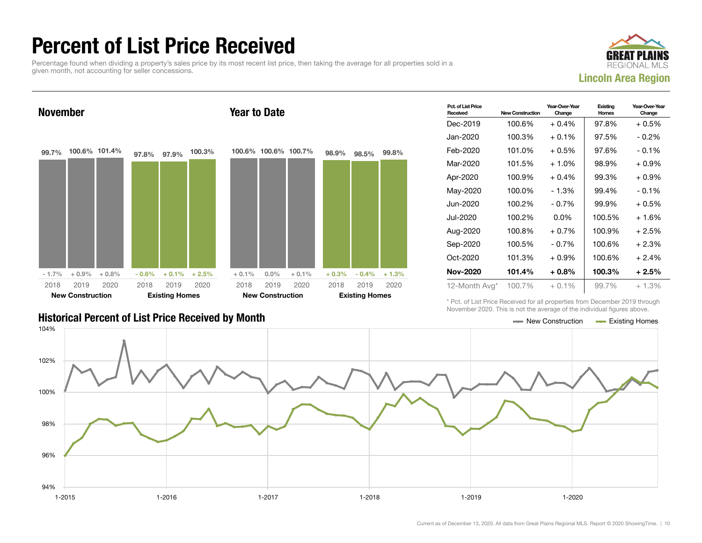### Percent of List Price Received

Percentage found when dividing a property's sales price by its most recent list price, then taking the average for all properties sold in a given month, not accounting for seller concessions.



Year-Over-Year

**Existing** 



### Historical Percent of List Price Received by Month New Construction According Homes

| Received        | <b>New Construction</b> | Change   | Homes  | Change   |
|-----------------|-------------------------|----------|--------|----------|
| Dec-2019        | 100.6%                  | $+0.4%$  | 97.8%  | + 0.5%   |
| Jan-2020        | 100.3%                  | $+0.1%$  | 97.5%  | $-0.2\%$ |
| Feb-2020        | 101.0%                  | $+0.5%$  | 97.6%  | $-0.1\%$ |
| Mar-2020        | 101.5%                  | $+1.0%$  | 98.9%  | $+0.9%$  |
| Apr-2020        | 100.9%                  | $+0.4%$  | 99.3%  | $+0.9\%$ |
| May-2020        | 100.0%                  | - 1.3%   | 99.4%  | $-0.1\%$ |
| Jun-2020        | 100.2%                  | $-0.7%$  | 99.9%  | + 0.5%   |
| Jul-2020        | 100.2%                  | $0.0\%$  | 100.5% | $+1.6%$  |
| Aug-2020        | 100.8%                  | $+0.7%$  | 100.9% | + 2.5%   |
| Sep-2020        | 100.5%                  | $-0.7\%$ | 100.6% | $+2.3%$  |
| Oct-2020        | 101.3%                  | $+0.9%$  | 100.6% | $+2.4%$  |
| <b>Nov-2020</b> | 101.4%                  | $+0.8%$  | 100.3% | $+2.5%$  |
| 12-Month Avg*   | 100.7%                  | $+0.1\%$ | 99.7%  | $+1.3%$  |

Year-Over-Year

\* Pct. of List Price Received for all properties from December 2019 through November 2020. This is not the average of the individual figures above.

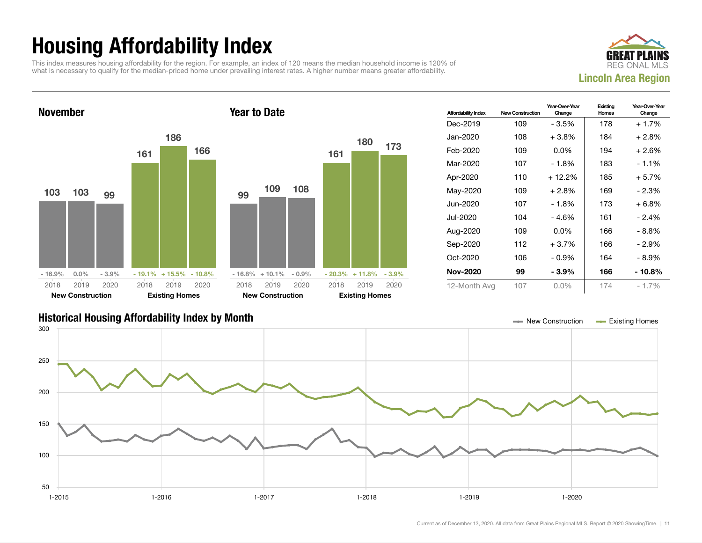## Housing Affordability Index

This index measures housing affordability for the region. For example, an index of 120 means the median household income is 120% of what is necessary to qualify for the median-priced home under prevailing interest rates. A higher number means greater affordability.





| <b>Affordability Index</b> | <b>New Construction</b> | Year-Over-Year<br>Change | Existing<br>Homes | Year-Over-Year<br>Change |
|----------------------------|-------------------------|--------------------------|-------------------|--------------------------|
| Dec-2019                   | 109                     | - 3.5%                   | 178               | $+1.7%$                  |
| Jan-2020                   | 108                     | $+3.8\%$                 | 184               | $+2.8%$                  |
| Feb-2020                   | 109                     | $0.0\%$                  | 194               | $+2.6%$                  |
| Mar-2020                   | 107                     | $-1.8%$                  | 183               | $-1.1\%$                 |
| Apr-2020                   | 110                     | $+12.2%$                 | 185               | $+5.7%$                  |
| May-2020                   | 109                     | $+2.8%$                  | 169               | $-2.3%$                  |
| Jun-2020                   | 107                     | - 1.8%                   | 173               | $+6.8%$                  |
| Jul-2020                   | 104                     | - 4.6%                   | 161               | $-2.4%$                  |
| Aug-2020                   | 109                     | $0.0\%$                  | 166               | - 8.8%                   |
| Sep-2020                   | 112                     | $+3.7%$                  | 166               | - 2.9%                   |
| Oct-2020                   | 106                     | $-0.9\%$                 | 164               | - 8.9%                   |
| Nov-2020                   | 99                      | $-3.9%$                  | 166               | - 10.8%                  |
| 12-Month Avg               | 107                     | $0.0\%$                  | 174               | $-1.7%$                  |

### Historical Housing Affordability Index by Month New Construction Existing Homes

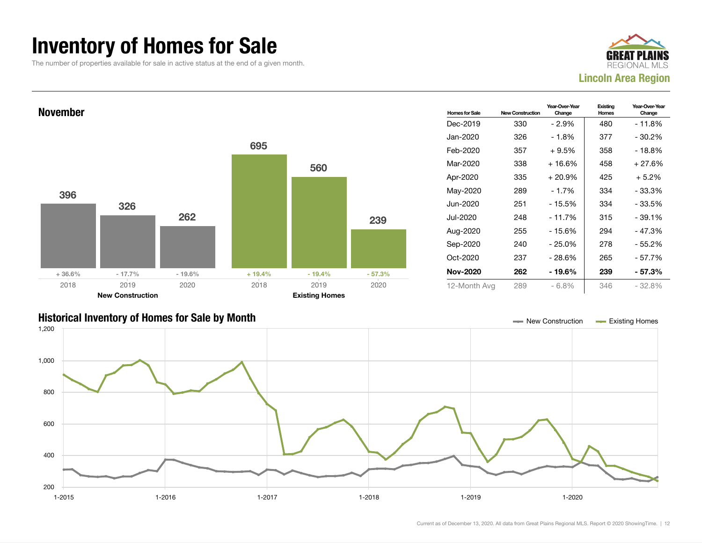### Inventory of Homes for Sale

The number of properties available for sale in active status at the end of a given month.







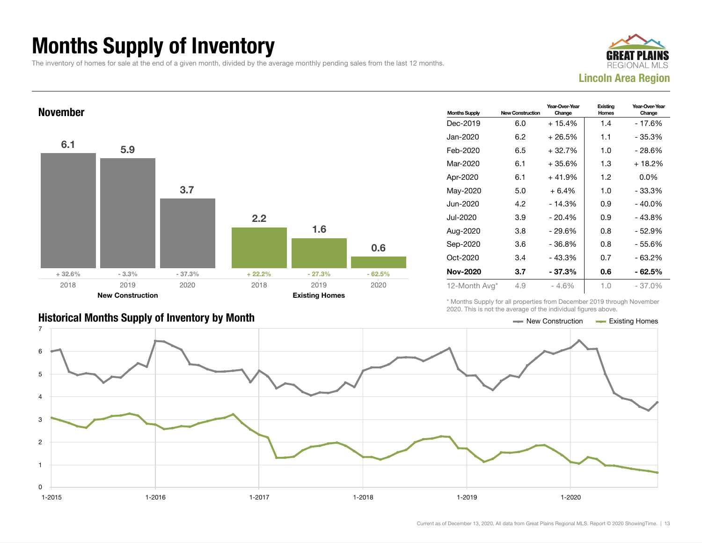## Months Supply of Inventory

The inventory of homes for sale at the end of a given month, divided by the average monthly pending sales from the last 12 months.





| <b>Months Supply</b> | <b>New Construction</b> | Year-Over-Year<br>Change | Existing<br>Homes | Year-Over-Year<br>Change |
|----------------------|-------------------------|--------------------------|-------------------|--------------------------|
| Dec-2019             | 6.0                     | $+15.4%$                 | 1.4               | - 17.6%                  |
| Jan-2020             | 6.2                     | $+26.5%$                 | 1.1               | - 35.3%                  |
| Feb-2020             | 6.5                     | $+32.7%$                 | 1.0               | - 28.6%                  |
| Mar-2020             | 6.1                     | $+35.6%$                 | 1.3               | + 18.2%                  |
| Apr-2020             | 6.1                     | $+41.9%$                 | 1.2               | $0.0\%$                  |
| May-2020             | 5.0                     | $+6.4%$                  | 1.0               | $-33.3%$                 |
| Jun-2020             | 4.2                     | $-14.3%$                 | 0.9               | $-40.0%$                 |
| Jul-2020             | 3.9                     | $-20.4%$                 | 0.9               | $-43.8%$                 |
| Aug-2020             | 3.8                     | $-29.6%$                 | 0.8               | $-52.9%$                 |
| Sep-2020             | 3.6                     | - 36.8%                  | 0.8               | - 55.6%                  |
| Oct-2020             | 3.4                     | $-43.3%$                 | 0.7               | $-63.2%$                 |
| <b>Nov-2020</b>      | 3.7                     | $-37.3%$                 | 0.6               | - 62.5%                  |
| 12-Month Avg*        | 4.9                     | $-4.6%$                  | 1.0               | $-37.0%$                 |

\* Months Supply for all properties from December 2019 through November 2020. This is not the average of the individual figures above.